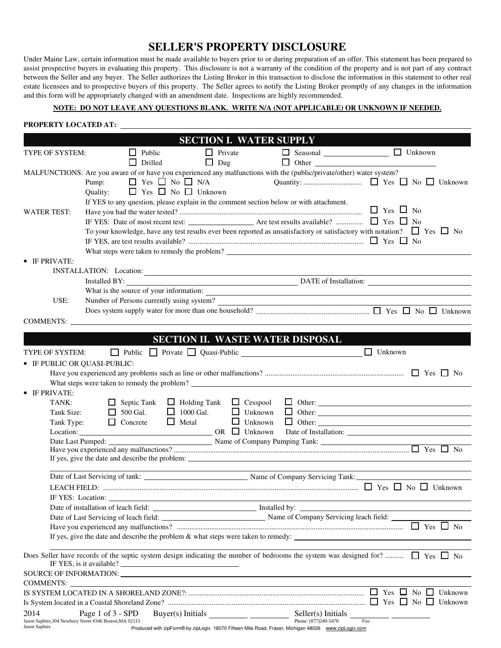## **SELLER'S PROPERTY DISCLOSURE**

Under Maine Law, certain information must be made available to buyers prior to or during preparation of an offer. This statement has been prepared to assist prospective buyers in evaluating this property. This disclosure is not a warranty of the condition of the property and is not part of any contract between the Seller and any buyer. The Seller authorizes the Listing Broker in this transaction to disclose the information in this statement to other real estate licensees and to prospective buyers of this property. The Seller agrees to notify the Listing Broker promptly of any changes in the information and this form will be appropriately changed with an amendment date. Inspections are highly recommended.

## **NOTE: DO NOT LEAVE ANY QUESTIONS BLANK. WRITE N/A (NOT APPLICABLE) OR UNKNOWN IF NEEDED.**

## **PROPERTY LOCATED AT:**

| <b>SECTION I. WATER SUPPLY</b>                          |                                                                                                                                          |  |  |  |  |
|---------------------------------------------------------|------------------------------------------------------------------------------------------------------------------------------------------|--|--|--|--|
| TYPE OF SYSTEM:                                         | □ Seasonal <u>__________________</u> □ Unknown<br>$\Box$ Public<br>$\Box$ Private                                                        |  |  |  |  |
|                                                         | $\Box$ Dug<br>$\Box$ Other $\Box$<br>Drilled                                                                                             |  |  |  |  |
|                                                         | MALFUNCTIONS: Are you aware of or have you experienced any malfunctions with the (public/private/other) water system?                    |  |  |  |  |
|                                                         | $\Box$ Yes $\Box$ No $\Box$ N/A<br>Pump:                                                                                                 |  |  |  |  |
|                                                         | $\Box$ Yes $\Box$ No $\Box$ Unknown<br>Quality:                                                                                          |  |  |  |  |
|                                                         | If YES to any question, please explain in the comment section below or with attachment.                                                  |  |  |  |  |
| <b>WATER TEST:</b>                                      | $\Box$ Yes $\Box$ No                                                                                                                     |  |  |  |  |
|                                                         |                                                                                                                                          |  |  |  |  |
|                                                         | To your knowledge, have any test results ever been reported as unsatisfactory or satisfactory with notation? $\Box$ Yes $\Box$ No        |  |  |  |  |
|                                                         |                                                                                                                                          |  |  |  |  |
|                                                         |                                                                                                                                          |  |  |  |  |
| • IF PRIVATE:                                           |                                                                                                                                          |  |  |  |  |
|                                                         | INSTALLATION: Location:                                                                                                                  |  |  |  |  |
|                                                         | Installed BY:<br>DATE of Installation:                                                                                                   |  |  |  |  |
|                                                         |                                                                                                                                          |  |  |  |  |
| USE:                                                    |                                                                                                                                          |  |  |  |  |
|                                                         |                                                                                                                                          |  |  |  |  |
|                                                         | COMMENTS:                                                                                                                                |  |  |  |  |
|                                                         | SECTION II. WASTE WATER DISPOSAL                                                                                                         |  |  |  |  |
|                                                         | $\Box$ Unknown                                                                                                                           |  |  |  |  |
| TYPE OF SYSTEM:                                         | Public Private Quasi-Public Culture 2014                                                                                                 |  |  |  |  |
| • IF PUBLIC OR QUASI-PUBLIC:                            |                                                                                                                                          |  |  |  |  |
|                                                         |                                                                                                                                          |  |  |  |  |
| IF PRIVATE:                                             | What steps were taken to remedy the problem?                                                                                             |  |  |  |  |
| TANK:                                                   | $\Box$ Holding Tank $\Box$ Cesspool<br>$\Box$ Septic Tank                                                                                |  |  |  |  |
| Tank Size:                                              | $\Box$ 1000 Gal.<br>$\Box$ Unknown<br>$\Box$ 500 Gal.                                                                                    |  |  |  |  |
| Tank Type:                                              | $\Box$ Metal<br>$\Box$ Unknown<br>$\Box$ Concrete                                                                                        |  |  |  |  |
| Location:                                               | $OR$ $\Box$ Unknown                                                                                                                      |  |  |  |  |
|                                                         |                                                                                                                                          |  |  |  |  |
|                                                         |                                                                                                                                          |  |  |  |  |
|                                                         |                                                                                                                                          |  |  |  |  |
|                                                         |                                                                                                                                          |  |  |  |  |
|                                                         | Date of Last Servicing of tank: Name of Company Servicing Tank:                                                                          |  |  |  |  |
|                                                         |                                                                                                                                          |  |  |  |  |
| IF YES: Location:                                       |                                                                                                                                          |  |  |  |  |
|                                                         |                                                                                                                                          |  |  |  |  |
|                                                         |                                                                                                                                          |  |  |  |  |
|                                                         |                                                                                                                                          |  |  |  |  |
|                                                         | If yes, give the date and describe the problem $\&$ what steps were taken to remedy:                                                     |  |  |  |  |
|                                                         | Does Seller have records of the septic system design indicating the number of bedrooms the system was designed for? $\Box$ Yes $\Box$ No |  |  |  |  |
|                                                         | SOURCE OF INFORMATION: LETTER AND THE SOURCE OF INFORMATION:                                                                             |  |  |  |  |
| COMMENTS:                                               |                                                                                                                                          |  |  |  |  |
|                                                         |                                                                                                                                          |  |  |  |  |
|                                                         |                                                                                                                                          |  |  |  |  |
| 2014<br>Page 1 of 3 - SPD                               |                                                                                                                                          |  |  |  |  |
| Jason Saphire, 304 Newbury Street #346 Boston, MA 02115 |                                                                                                                                          |  |  |  |  |
| Jason Saphire                                           | Produced with zipForm® by zipLogix 18070 Fifteen Mile Road, Fraser, Michigan 48026 www.zipLogix.com                                      |  |  |  |  |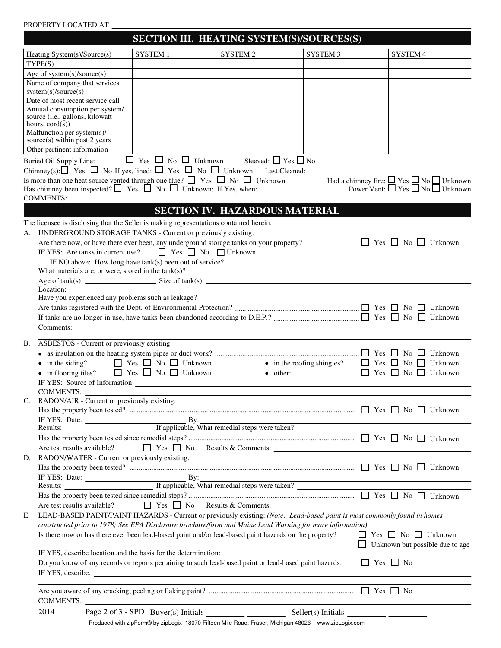## PROPERTY LOCATED AT

|                                                                                                                                                                                                                                                                                     | SECTION III. HEATING SYSTEM(S)/SOURCES(S)                                                                                                                                                                                                                       |                                                                                                                      |                                                                                                                                                                                                                               |                      |                                        |  |  |
|-------------------------------------------------------------------------------------------------------------------------------------------------------------------------------------------------------------------------------------------------------------------------------------|-----------------------------------------------------------------------------------------------------------------------------------------------------------------------------------------------------------------------------------------------------------------|----------------------------------------------------------------------------------------------------------------------|-------------------------------------------------------------------------------------------------------------------------------------------------------------------------------------------------------------------------------|----------------------|----------------------------------------|--|--|
| Heating System(s)/Source(s)                                                                                                                                                                                                                                                         | SYSTEM 1                                                                                                                                                                                                                                                        | SYSTEM 2                                                                                                             | SYSTEM 3                                                                                                                                                                                                                      |                      | SYSTEM 4                               |  |  |
| TYPE(S)                                                                                                                                                                                                                                                                             |                                                                                                                                                                                                                                                                 |                                                                                                                      |                                                                                                                                                                                                                               |                      |                                        |  |  |
| Age of system(s)/source(s)                                                                                                                                                                                                                                                          |                                                                                                                                                                                                                                                                 |                                                                                                                      |                                                                                                                                                                                                                               |                      |                                        |  |  |
| Name of company that services                                                                                                                                                                                                                                                       |                                                                                                                                                                                                                                                                 |                                                                                                                      |                                                                                                                                                                                                                               |                      |                                        |  |  |
| system(s)/source(s)                                                                                                                                                                                                                                                                 |                                                                                                                                                                                                                                                                 |                                                                                                                      |                                                                                                                                                                                                                               |                      |                                        |  |  |
| Date of most recent service call                                                                                                                                                                                                                                                    |                                                                                                                                                                                                                                                                 |                                                                                                                      |                                                                                                                                                                                                                               |                      |                                        |  |  |
| Annual consumption per system/<br>source (i.e., gallons, kilowatt                                                                                                                                                                                                                   |                                                                                                                                                                                                                                                                 |                                                                                                                      |                                                                                                                                                                                                                               |                      |                                        |  |  |
| hours, $\text{cord}(s)$ )                                                                                                                                                                                                                                                           |                                                                                                                                                                                                                                                                 |                                                                                                                      |                                                                                                                                                                                                                               |                      |                                        |  |  |
| Malfunction per system(s)/                                                                                                                                                                                                                                                          |                                                                                                                                                                                                                                                                 |                                                                                                                      |                                                                                                                                                                                                                               |                      |                                        |  |  |
| source(s) within past 2 years                                                                                                                                                                                                                                                       |                                                                                                                                                                                                                                                                 |                                                                                                                      |                                                                                                                                                                                                                               |                      |                                        |  |  |
| Other pertinent information                                                                                                                                                                                                                                                         |                                                                                                                                                                                                                                                                 |                                                                                                                      |                                                                                                                                                                                                                               |                      |                                        |  |  |
| Buried Oil Supply Line:                                                                                                                                                                                                                                                             | $\Box$ Yes $\Box$ No $\Box$ Unknown Sleeved: $\Box$ Yes $\Box$ No                                                                                                                                                                                               |                                                                                                                      |                                                                                                                                                                                                                               |                      |                                        |  |  |
|                                                                                                                                                                                                                                                                                     |                                                                                                                                                                                                                                                                 |                                                                                                                      |                                                                                                                                                                                                                               |                      |                                        |  |  |
| Is more than one heat source vented through one flue? $\Box$ Yes $\Box$ No $\Box$ Unknown Had a chimney fire: $\Box$ Yes $\Box$ No $\Box$ Unknown<br>Has chimney been inspected? $\Box$ Yes $\Box$ No $\Box$ Unknown; If Yes, when: Power Vent: $\Box$ Yes $\Box$ No $\Box$ Unknown |                                                                                                                                                                                                                                                                 |                                                                                                                      |                                                                                                                                                                                                                               |                      |                                        |  |  |
| <b>COMMENTS:</b>                                                                                                                                                                                                                                                                    |                                                                                                                                                                                                                                                                 |                                                                                                                      |                                                                                                                                                                                                                               |                      |                                        |  |  |
|                                                                                                                                                                                                                                                                                     |                                                                                                                                                                                                                                                                 |                                                                                                                      |                                                                                                                                                                                                                               |                      |                                        |  |  |
|                                                                                                                                                                                                                                                                                     |                                                                                                                                                                                                                                                                 |                                                                                                                      | <b>SECTION IV. HAZARDOUS MATERIAL</b>                                                                                                                                                                                         |                      |                                        |  |  |
| The licensee is disclosing that the Seller is making representations contained herein.                                                                                                                                                                                              |                                                                                                                                                                                                                                                                 |                                                                                                                      |                                                                                                                                                                                                                               |                      |                                        |  |  |
| UNDERGROUND STORAGE TANKS - Current or previously existing:                                                                                                                                                                                                                         |                                                                                                                                                                                                                                                                 |                                                                                                                      |                                                                                                                                                                                                                               |                      |                                        |  |  |
| Are there now, or have there ever been, any underground storage tanks on your property?                                                                                                                                                                                             |                                                                                                                                                                                                                                                                 |                                                                                                                      |                                                                                                                                                                                                                               |                      | □ Yes □ No □ Unknown                   |  |  |
| IF YES: Are tanks in current use? $\Box$ Yes $\Box$ No $\Box$ Unknown                                                                                                                                                                                                               |                                                                                                                                                                                                                                                                 |                                                                                                                      |                                                                                                                                                                                                                               |                      |                                        |  |  |
|                                                                                                                                                                                                                                                                                     | IF NO above: How long have $tank(s)$ been out of service?                                                                                                                                                                                                       |                                                                                                                      |                                                                                                                                                                                                                               |                      |                                        |  |  |
| What materials are, or were, stored in the $tank(s)$ ?<br>Age of $tank(s)$ : Size of $tank(s)$ :                                                                                                                                                                                    |                                                                                                                                                                                                                                                                 |                                                                                                                      |                                                                                                                                                                                                                               |                      |                                        |  |  |
| Location:                                                                                                                                                                                                                                                                           |                                                                                                                                                                                                                                                                 |                                                                                                                      | <u> 1989 - Johann Barn, fransk politik amerikansk politik (d. 1989)</u>                                                                                                                                                       |                      |                                        |  |  |
|                                                                                                                                                                                                                                                                                     |                                                                                                                                                                                                                                                                 |                                                                                                                      |                                                                                                                                                                                                                               |                      |                                        |  |  |
|                                                                                                                                                                                                                                                                                     |                                                                                                                                                                                                                                                                 |                                                                                                                      |                                                                                                                                                                                                                               |                      |                                        |  |  |
|                                                                                                                                                                                                                                                                                     |                                                                                                                                                                                                                                                                 |                                                                                                                      |                                                                                                                                                                                                                               |                      |                                        |  |  |
|                                                                                                                                                                                                                                                                                     |                                                                                                                                                                                                                                                                 |                                                                                                                      |                                                                                                                                                                                                                               |                      |                                        |  |  |
| ASBESTOS - Current or previously existing:<br><b>B.</b>                                                                                                                                                                                                                             |                                                                                                                                                                                                                                                                 |                                                                                                                      |                                                                                                                                                                                                                               |                      |                                        |  |  |
|                                                                                                                                                                                                                                                                                     |                                                                                                                                                                                                                                                                 |                                                                                                                      |                                                                                                                                                                                                                               |                      |                                        |  |  |
|                                                                                                                                                                                                                                                                                     |                                                                                                                                                                                                                                                                 |                                                                                                                      |                                                                                                                                                                                                                               |                      |                                        |  |  |
| • in flooring tiles?                                                                                                                                                                                                                                                                | • in the siding? $\Box$ Yes $\Box$ No $\Box$ Unknown • in the roofing shingles? $\Box$ Yes $\Box$ No $\Box$ Unknown<br>$\bullet$ other: $\qquad \qquad \square \qquad \text{Yes} \qquad \text{No} \qquad \text{Unknown}$<br>$\Box$ Yes $\Box$ No $\Box$ Unknown |                                                                                                                      |                                                                                                                                                                                                                               |                      |                                        |  |  |
|                                                                                                                                                                                                                                                                                     |                                                                                                                                                                                                                                                                 |                                                                                                                      |                                                                                                                                                                                                                               |                      |                                        |  |  |
| COMMENTS:                                                                                                                                                                                                                                                                           |                                                                                                                                                                                                                                                                 |                                                                                                                      |                                                                                                                                                                                                                               |                      |                                        |  |  |
| RADON/AIR - Current or previously existing:<br>C.                                                                                                                                                                                                                                   |                                                                                                                                                                                                                                                                 |                                                                                                                      |                                                                                                                                                                                                                               |                      |                                        |  |  |
|                                                                                                                                                                                                                                                                                     |                                                                                                                                                                                                                                                                 |                                                                                                                      |                                                                                                                                                                                                                               |                      |                                        |  |  |
| IF YES: Date: <u>By:</u><br>Results: <u>Parametric If applicable, What remedial steps were taken?</u>                                                                                                                                                                               |                                                                                                                                                                                                                                                                 |                                                                                                                      |                                                                                                                                                                                                                               |                      |                                        |  |  |
|                                                                                                                                                                                                                                                                                     |                                                                                                                                                                                                                                                                 |                                                                                                                      |                                                                                                                                                                                                                               |                      |                                        |  |  |
|                                                                                                                                                                                                                                                                                     |                                                                                                                                                                                                                                                                 |                                                                                                                      |                                                                                                                                                                                                                               |                      |                                        |  |  |
| Are test results available?                                                                                                                                                                                                                                                         |                                                                                                                                                                                                                                                                 |                                                                                                                      | Yes No Results & Comments:                                                                                                                                                                                                    |                      |                                        |  |  |
| RADON/WATER - Current or previously existing:<br>D.                                                                                                                                                                                                                                 |                                                                                                                                                                                                                                                                 |                                                                                                                      |                                                                                                                                                                                                                               |                      |                                        |  |  |
|                                                                                                                                                                                                                                                                                     |                                                                                                                                                                                                                                                                 |                                                                                                                      |                                                                                                                                                                                                                               |                      |                                        |  |  |
|                                                                                                                                                                                                                                                                                     |                                                                                                                                                                                                                                                                 |                                                                                                                      |                                                                                                                                                                                                                               |                      |                                        |  |  |
|                                                                                                                                                                                                                                                                                     |                                                                                                                                                                                                                                                                 |                                                                                                                      |                                                                                                                                                                                                                               |                      |                                        |  |  |
|                                                                                                                                                                                                                                                                                     |                                                                                                                                                                                                                                                                 |                                                                                                                      |                                                                                                                                                                                                                               |                      |                                        |  |  |
| Are test results available?                                                                                                                                                                                                                                                         |                                                                                                                                                                                                                                                                 |                                                                                                                      | $\Box$ Yes $\Box$ No Results & Comments:                                                                                                                                                                                      |                      |                                        |  |  |
| LEAD-BASED PAINT/PAINT HAZARDS - Current or previously existing: (Note: Lead-based paint is most commonly found in homes<br>Е.                                                                                                                                                      |                                                                                                                                                                                                                                                                 |                                                                                                                      |                                                                                                                                                                                                                               |                      |                                        |  |  |
| constructed prior to 1978; See EPA Disclosure brochure/form and Maine Lead Warning for more information)                                                                                                                                                                            |                                                                                                                                                                                                                                                                 |                                                                                                                      |                                                                                                                                                                                                                               |                      |                                        |  |  |
| Is there now or has there ever been lead-based paint and/or lead-based paint hazards on the property?                                                                                                                                                                               |                                                                                                                                                                                                                                                                 |                                                                                                                      |                                                                                                                                                                                                                               |                      | $\Box$ Yes $\Box$ No $\Box$ Unknown    |  |  |
| IF YES, describe location and the basis for the determination:                                                                                                                                                                                                                      |                                                                                                                                                                                                                                                                 |                                                                                                                      |                                                                                                                                                                                                                               |                      | $\Box$ Unknown but possible due to age |  |  |
| Do you know of any records or reports pertaining to such lead-based paint or lead-based paint hazards:                                                                                                                                                                              |                                                                                                                                                                                                                                                                 |                                                                                                                      |                                                                                                                                                                                                                               | $\Box$ Yes $\Box$ No |                                        |  |  |
|                                                                                                                                                                                                                                                                                     |                                                                                                                                                                                                                                                                 |                                                                                                                      |                                                                                                                                                                                                                               |                      |                                        |  |  |
|                                                                                                                                                                                                                                                                                     |                                                                                                                                                                                                                                                                 |                                                                                                                      | the control of the control of the control of the control of the control of the control of the control of the control of the control of the control of the control of the control of the control of the control of the control |                      |                                        |  |  |
|                                                                                                                                                                                                                                                                                     |                                                                                                                                                                                                                                                                 |                                                                                                                      |                                                                                                                                                                                                                               |                      |                                        |  |  |
| <b>COMMENTS:</b>                                                                                                                                                                                                                                                                    |                                                                                                                                                                                                                                                                 | <u> 1989 - Johann Barn, mars ann an t-Amhain Aonaich an t-Aonaich an t-Aonaich ann an t-Aonaich ann an t-Aonaich</u> |                                                                                                                                                                                                                               |                      |                                        |  |  |
| 2014                                                                                                                                                                                                                                                                                | Page 2 of 3 - SPD Buyer(s) Initials $\frac{1}{\sqrt{1-\frac{1}{2}}\sqrt{1-\frac{1}{2}}\sqrt{1-\frac{1}{2}}\sqrt{1-\frac{1}{2}}}}$                                                                                                                               |                                                                                                                      | $Seller(s)$ Initials $\_\_\_\_\_\_\_\_\_\_\_\_\_\_\_\_\_\_\_\_\_\_\_\_\_\_\_\_\_$                                                                                                                                             |                      |                                        |  |  |

Produced with zipForm® by zipLogix 18070 Fifteen Mile Road, Fraser, Michigan 48026 www.zipLogix.com